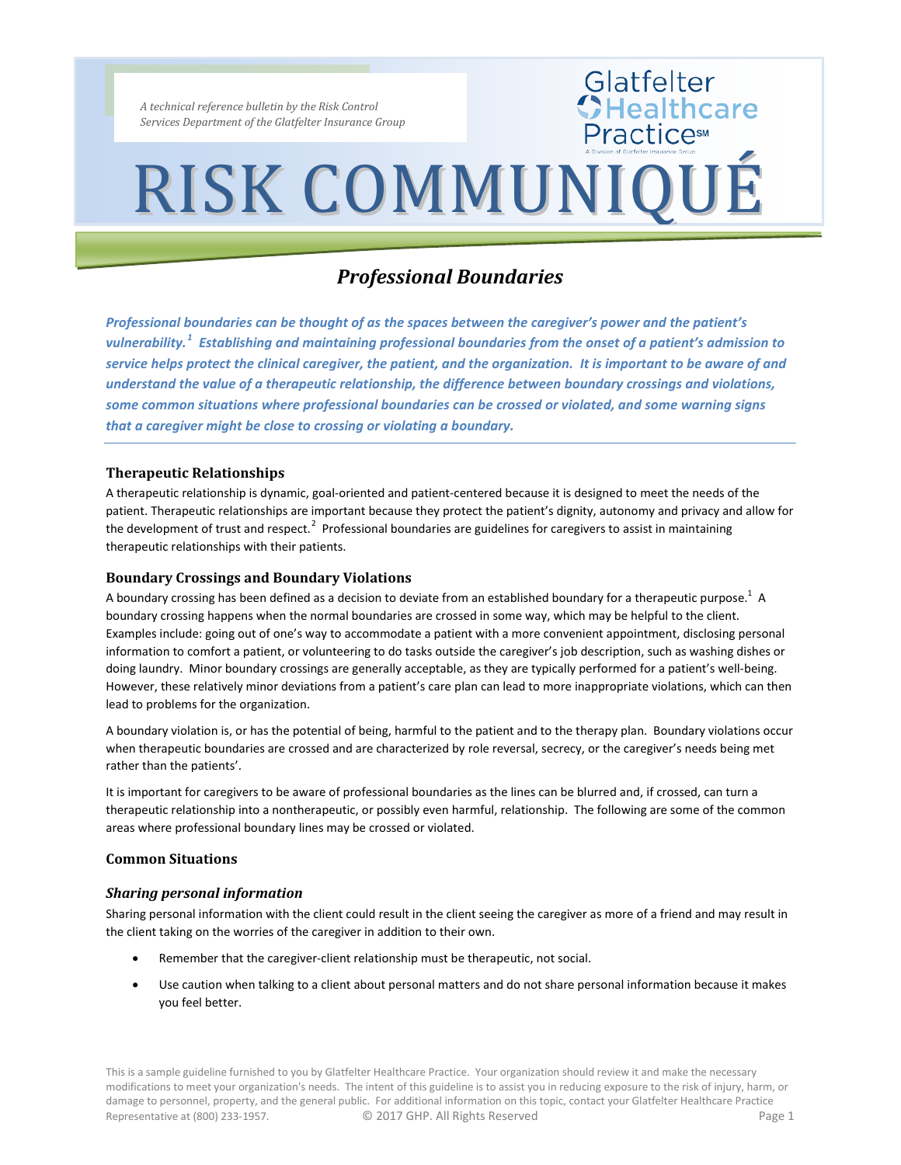*A technical reference bulletin by the Risk Control Services Department of the Glatfelter Insurance Group*

### RISK COMMUNIQUÉ

Glatfelter<br>CHealthcare

**Practices** 

### *Professional Boundaries*

*Professional boundaries can be thought of as the spaces between the caregiver's power and the patient's vulnerability.[1](#page-2-0) Establishing and maintaining professional boundaries from the onset of a patient's admission to service helps protect the clinical caregiver, the patient, and the organization. It is important to be aware of and understand the value of a therapeutic relationship, the difference between boundary crossings and violations, some common situations where professional boundaries can be crossed or violated, and some warning signs that a caregiver might be close to crossing or violating a boundary.*

#### **Therapeutic Relationships**

A therapeutic relationship is dynamic, goal-oriented and patient-centered because it is designed to meet the needs of the patient. Therapeutic relationships are important because they protect the patient's dignity, autonomy and privacy and allow for the development of trust and respect.<sup>[2](#page-2-1)</sup> Professional boundaries are guidelines for caregivers to assist in maintaining therapeutic relationships with their patients.

#### **Boundary Crossings and Boundary Violations**

A boundary crossing has been defined as a decision to deviate from an established boundary for a therapeutic purpose.<sup>1</sup> A boundary crossing happens when the normal boundaries are crossed in some way, which may be helpful to the client. Examples include: going out of one's way to accommodate a patient with a more convenient appointment, disclosing personal information to comfort a patient, or volunteering to do tasks outside the caregiver's job description, such as washing dishes or doing laundry. Minor boundary crossings are generally acceptable, as they are typically performed for a patient's well-being. However, these relatively minor deviations from a patient's care plan can lead to more inappropriate violations, which can then lead to problems for the organization.

A boundary violation is, or has the potential of being, harmful to the patient and to the therapy plan. Boundary violations occur when therapeutic boundaries are crossed and are characterized by role reversal, secrecy, or the caregiver's needs being met rather than the patients'.

It is important for caregivers to be aware of professional boundaries as the lines can be blurred and, if crossed, can turn a therapeutic relationship into a nontherapeutic, or possibly even harmful, relationship. The following are some of the common areas where professional boundary lines may be crossed or violated.

#### **Common Situations**

#### *Sharing personal information*

Sharing personal information with the client could result in the client seeing the caregiver as more of a friend and may result in the client taking on the worries of the caregiver in addition to their own.

- Remember that the caregiver-client relationship must be therapeutic, not social.
- Use caution when talking to a client about personal matters and do not share personal information because it makes you feel better.

This is a sample guideline furnished to you by Glatfelter Healthcare Practice. Your organization should review it and make the necessary modifications to meet your organization's needs. The intent of this guideline is to assist you in reducing exposure to the risk of injury, harm, or damage to personnel, property, and the general public. For additional information on this topic, contact your Glatfelter Healthcare Practice Representative at (800) 233-1957. <br>
C 2017 GHP. All Rights Reserved **Page 1** Page 1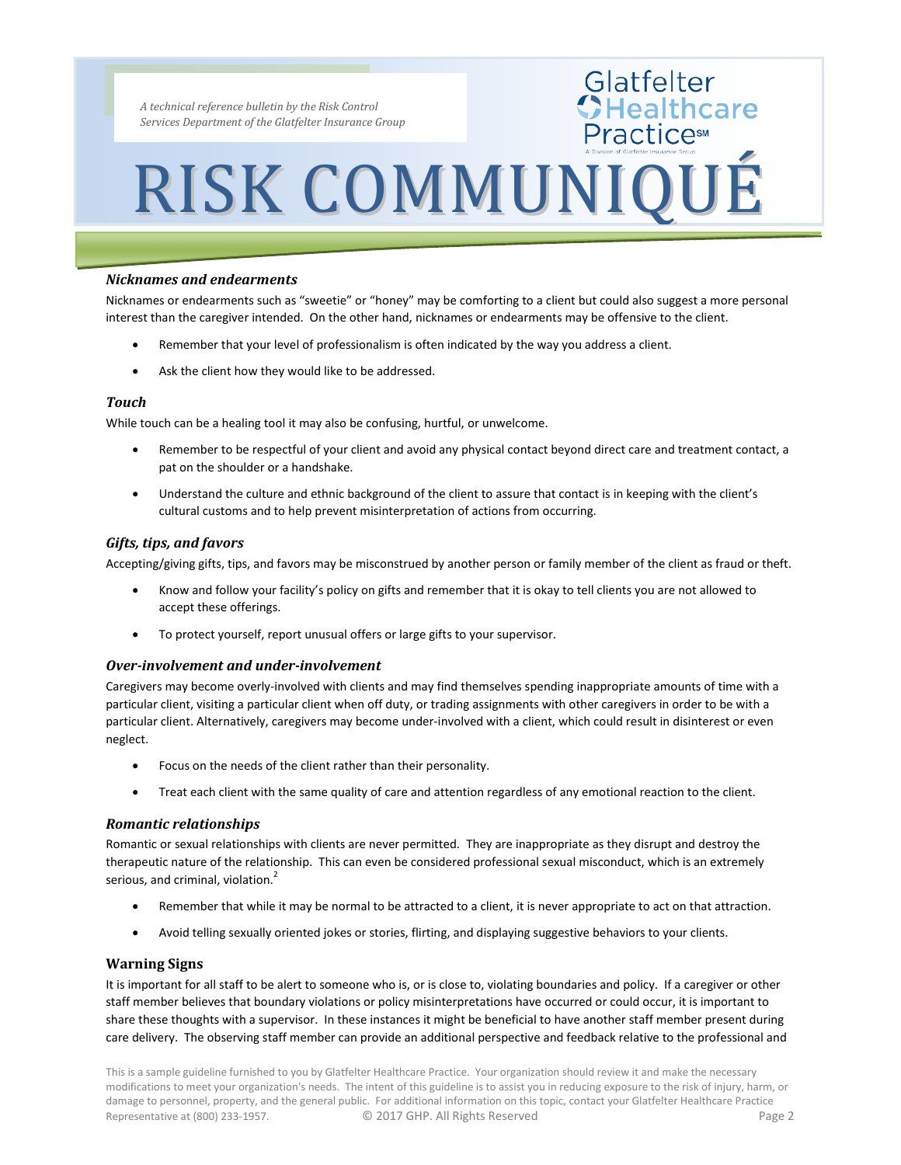*A technical reference bulletin by the Risk Control Services Department of the Glatfelter Insurance Group*

# RISK COMMUNIQUÉ

Glatfelter<br>CHealthcare

**Practices** 

#### *Nicknames and endearments*

Nicknames or endearments such as "sweetie" or "honey" may be comforting to a client but could also suggest a more personal interest than the caregiver intended. On the other hand, nicknames or endearments may be offensive to the client.

- Remember that your level of professionalism is often indicated by the way you address a client.
- Ask the client how they would like to be addressed.

#### *Touch*

While touch can be a healing tool it may also be confusing, hurtful, or unwelcome.

- Remember to be respectful of your client and avoid any physical contact beyond direct care and treatment contact, a pat on the shoulder or a handshake.
- Understand the culture and ethnic background of the client to assure that contact is in keeping with the client's cultural customs and to help prevent misinterpretation of actions from occurring.

#### *Gifts, tips, and favors*

Accepting/giving gifts, tips, and favors may be misconstrued by another person or family member of the client as fraud or theft.

- Know and follow your facility's policy on gifts and remember that it is okay to tell clients you are not allowed to accept these offerings.
- To protect yourself, report unusual offers or large gifts to your supervisor.

#### *Over-involvement and under-involvement*

Caregivers may become overly-involved with clients and may find themselves spending inappropriate amounts of time with a particular client, visiting a particular client when off duty, or trading assignments with other caregivers in order to be with a particular client. Alternatively, caregivers may become under-involved with a client, which could result in disinterest or even neglect.

- Focus on the needs of the client rather than their personality.
- Treat each client with the same quality of care and attention regardless of any emotional reaction to the client.

#### *Romantic relationships*

Romantic or sexual relationships with clients are never permitted. They are inappropriate as they disrupt and destroy the therapeutic nature of the relationship. This can even be considered professional sexual misconduct, which is an extremely serious, and criminal, violation.<sup>2</sup>

- Remember that while it may be normal to be attracted to a client, it is never appropriate to act on that attraction.
- Avoid telling sexually oriented jokes or stories, flirting, and displaying suggestive behaviors to your clients.

#### **Warning Signs**

It is important for all staff to be alert to someone who is, or is close to, violating boundaries and policy. If a caregiver or other staff member believes that boundary violations or policy misinterpretations have occurred or could occur, it is important to share these thoughts with a supervisor. In these instances it might be beneficial to have another staff member present during care delivery. The observing staff member can provide an additional perspective and feedback relative to the professional and

This is a sample guideline furnished to you by Glatfelter Healthcare Practice. Your organization should review it and make the necessary modifications to meet your organization's needs. The intent of this guideline is to assist you in reducing exposure to the risk of injury, harm, or damage to personnel, property, and the general public. For additional information on this topic, contact your Glatfelter Healthcare Practice Representative at (800) 233-1957. <br>
C 2017 GHP. All Rights Reserved **Page 2**